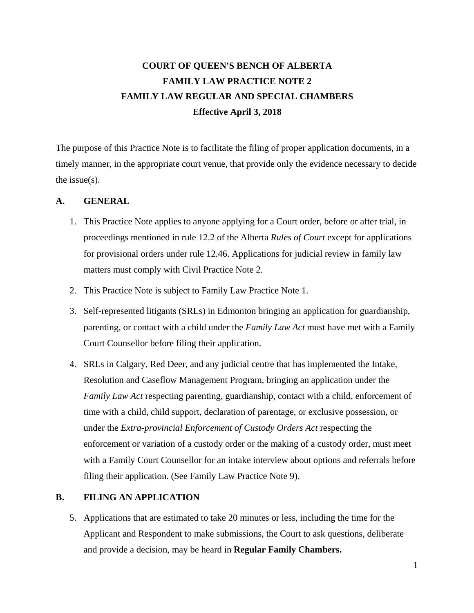# **COURT OF QUEEN'S BENCH OF ALBERTA FAMILY LAW PRACTICE NOTE 2 FAMILY LAW REGULAR AND SPECIAL CHAMBERS Effective April 3, 2018**

The purpose of this Practice Note is to facilitate the filing of proper application documents, in a timely manner, in the appropriate court venue, that provide only the evidence necessary to decide the issue(s).

#### **A. GENERAL**

- 1. This Practice Note applies to anyone applying for a Court order, before or after trial, in proceedings mentioned in rule 12.2 of the Alberta *Rules of Court* except for applications for provisional orders under rule 12.46. Applications for judicial review in family law matters must comply with Civil Practice Note 2.
- 2. This Practice Note is subject to Family Law Practice Note 1.
- 3. Self-represented litigants (SRLs) in Edmonton bringing an application for guardianship, parenting, or contact with a child under the *Family Law Act* must have met with a Family Court Counsellor before filing their application.
- 4. SRLs in Calgary, Red Deer, and any judicial centre that has implemented the Intake, Resolution and Caseflow Management Program, bringing an application under the *Family Law Act respecting parenting, guardianship, contact with a child, enforcement of* time with a child, child support, declaration of parentage, or exclusive possession, or under the *Extra-provincial Enforcement of Custody Orders Act* respecting the enforcement or variation of a custody order or the making of a custody order, must meet with a Family Court Counsellor for an intake interview about options and referrals before filing their application. (See Family Law Practice Note 9).

### **B. FILING AN APPLICATION**

5. Applications that are estimated to take 20 minutes or less, including the time for the Applicant and Respondent to make submissions, the Court to ask questions, deliberate and provide a decision, may be heard in **Regular Family Chambers.**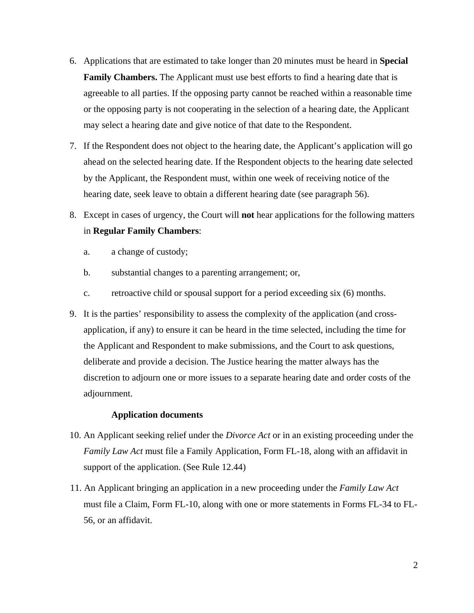- 6. Applications that are estimated to take longer than 20 minutes must be heard in **Special Family Chambers.** The Applicant must use best efforts to find a hearing date that is agreeable to all parties. If the opposing party cannot be reached within a reasonable time or the opposing party is not cooperating in the selection of a hearing date, the Applicant may select a hearing date and give notice of that date to the Respondent.
- 7. If the Respondent does not object to the hearing date, the Applicant's application will go ahead on the selected hearing date. If the Respondent objects to the hearing date selected by the Applicant, the Respondent must, within one week of receiving notice of the hearing date, seek leave to obtain a different hearing date (see paragraph 56).
- 8. Except in cases of urgency, the Court will **not** hear applications for the following matters in **Regular Family Chambers**:
	- a. a change of custody;
	- b. substantial changes to a parenting arrangement; or,
	- c. retroactive child or spousal support for a period exceeding six (6) months.
- 9. It is the parties' responsibility to assess the complexity of the application (and crossapplication, if any) to ensure it can be heard in the time selected, including the time for the Applicant and Respondent to make submissions, and the Court to ask questions, deliberate and provide a decision. The Justice hearing the matter always has the discretion to adjourn one or more issues to a separate hearing date and order costs of the adjournment.

#### **Application documents**

- 10. An Applicant seeking relief under the *Divorce Act* or in an existing proceeding under the *Family Law Act* must file a Family Application, Form FL-18, along with an affidavit in support of the application. (See Rule 12.44)
- 11. An Applicant bringing an application in a new proceeding under the *Family Law Act* must file a Claim, Form FL-10, along with one or more statements in Forms FL-34 to FL-56, or an affidavit.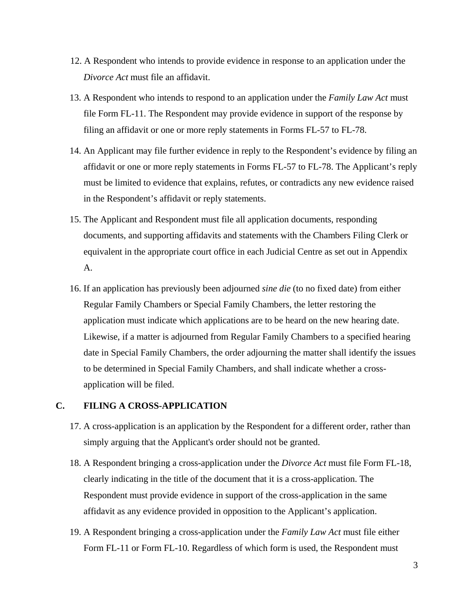- 12. A Respondent who intends to provide evidence in response to an application under the *Divorce Act* must file an affidavit.
- 13. A Respondent who intends to respond to an application under the *Family Law Act* must file Form FL-11. The Respondent may provide evidence in support of the response by filing an affidavit or one or more reply statements in Forms FL-57 to FL-78.
- 14. An Applicant may file further evidence in reply to the Respondent's evidence by filing an affidavit or one or more reply statements in Forms FL-57 to FL-78. The Applicant's reply must be limited to evidence that explains, refutes, or contradicts any new evidence raised in the Respondent's affidavit or reply statements.
- 15. The Applicant and Respondent must file all application documents, responding documents, and supporting affidavits and statements with the Chambers Filing Clerk or equivalent in the appropriate court office in each Judicial Centre as set out in Appendix A.
- 16. If an application has previously been adjourned *sine die* (to no fixed date) from either Regular Family Chambers or Special Family Chambers, the letter restoring the application must indicate which applications are to be heard on the new hearing date. Likewise, if a matter is adjourned from Regular Family Chambers to a specified hearing date in Special Family Chambers, the order adjourning the matter shall identify the issues to be determined in Special Family Chambers, and shall indicate whether a crossapplication will be filed.

### **C. FILING A CROSS-APPLICATION**

- 17. A cross-application is an application by the Respondent for a different order, rather than simply arguing that the Applicant's order should not be granted.
- 18. A Respondent bringing a cross-application under the *Divorce Act* must file Form FL-18, clearly indicating in the title of the document that it is a cross-application. The Respondent must provide evidence in support of the cross-application in the same affidavit as any evidence provided in opposition to the Applicant's application.
- 19. A Respondent bringing a cross-application under the *Family Law Act* must file either Form FL-11 or Form FL-10. Regardless of which form is used, the Respondent must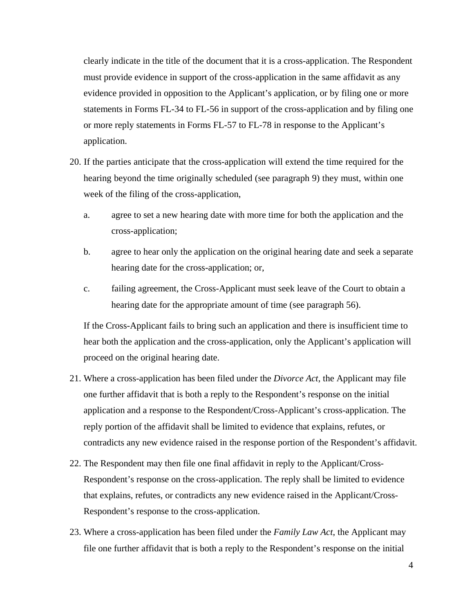clearly indicate in the title of the document that it is a cross-application. The Respondent must provide evidence in support of the cross-application in the same affidavit as any evidence provided in opposition to the Applicant's application, or by filing one or more statements in Forms FL-34 to FL-56 in support of the cross-application and by filing one or more reply statements in Forms FL-57 to FL-78 in response to the Applicant's application.

- 20. If the parties anticipate that the cross-application will extend the time required for the hearing beyond the time originally scheduled (see paragraph 9) they must, within one week of the filing of the cross-application,
	- a. agree to set a new hearing date with more time for both the application and the cross-application;
	- b. agree to hear only the application on the original hearing date and seek a separate hearing date for the cross-application; or,
	- c. failing agreement, the Cross-Applicant must seek leave of the Court to obtain a hearing date for the appropriate amount of time (see paragraph 56).

If the Cross-Applicant fails to bring such an application and there is insufficient time to hear both the application and the cross-application, only the Applicant's application will proceed on the original hearing date.

- 21. Where a cross-application has been filed under the *Divorce Act*, the Applicant may file one further affidavit that is both a reply to the Respondent's response on the initial application and a response to the Respondent/Cross-Applicant's cross-application. The reply portion of the affidavit shall be limited to evidence that explains, refutes, or contradicts any new evidence raised in the response portion of the Respondent's affidavit.
- 22. The Respondent may then file one final affidavit in reply to the Applicant/Cross-Respondent's response on the cross-application. The reply shall be limited to evidence that explains, refutes, or contradicts any new evidence raised in the Applicant/Cross-Respondent's response to the cross-application.
- 23. Where a cross-application has been filed under the *Family Law Act*, the Applicant may file one further affidavit that is both a reply to the Respondent's response on the initial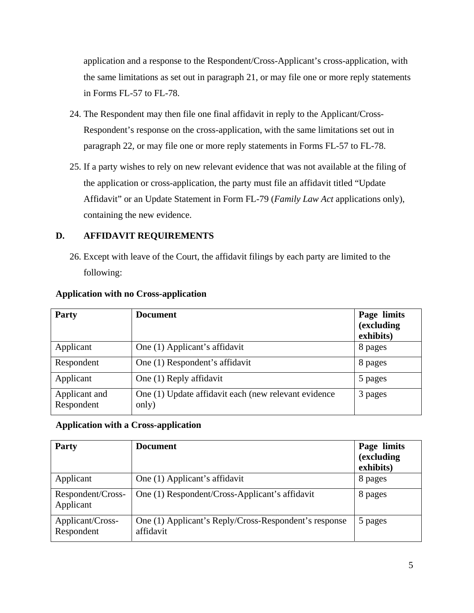application and a response to the Respondent/Cross-Applicant's cross-application, with the same limitations as set out in paragraph 21, or may file one or more reply statements in Forms FL-57 to FL-78.

- 24. The Respondent may then file one final affidavit in reply to the Applicant/Cross-Respondent's response on the cross-application, with the same limitations set out in paragraph 22, or may file one or more reply statements in Forms FL-57 to FL-78.
- 25. If a party wishes to rely on new relevant evidence that was not available at the filing of the application or cross-application, the party must file an affidavit titled "Update Affidavit" or an Update Statement in Form FL-79 (*Family Law Act* applications only), containing the new evidence.

# **D. AFFIDAVIT REQUIREMENTS**

26. Except with leave of the Court, the affidavit filings by each party are limited to the following:

| Party                       | <b>Document</b>                                               | Page limits<br>(excluding<br>exhibits) |
|-----------------------------|---------------------------------------------------------------|----------------------------------------|
| Applicant                   | One (1) Applicant's affidavit                                 | 8 pages                                |
| Respondent                  | One (1) Respondent's affidavit                                | 8 pages                                |
| Applicant                   | One (1) Reply affidavit                                       | 5 pages                                |
| Applicant and<br>Respondent | One (1) Update affidavit each (new relevant evidence<br>only) | 3 pages                                |

## **Application with no Cross-application**

## **Application with a Cross-application**

| <b>Party</b>                   | <b>Document</b>                                                    | Page limits<br>(excluding<br>exhibits) |
|--------------------------------|--------------------------------------------------------------------|----------------------------------------|
| Applicant                      | One (1) Applicant's affidavit                                      | 8 pages                                |
| Respondent/Cross-<br>Applicant | One (1) Respondent/Cross-Applicant's affidavit                     | 8 pages                                |
| Applicant/Cross-<br>Respondent | One (1) Applicant's Reply/Cross-Respondent's response<br>affidavit | 5 pages                                |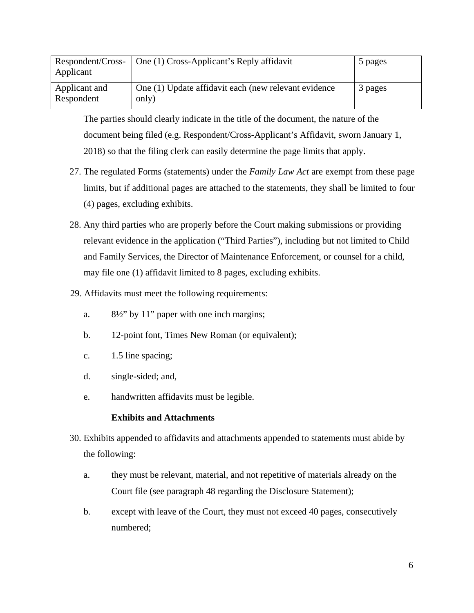| Respondent/Cross-<br>Applicant | One (1) Cross-Applicant's Reply affidavit                     | 5 pages |
|--------------------------------|---------------------------------------------------------------|---------|
| Applicant and<br>Respondent    | One (1) Update affidavit each (new relevant evidence<br>only) | 3 pages |

The parties should clearly indicate in the title of the document, the nature of the document being filed (e.g. Respondent/Cross-Applicant's Affidavit, sworn January 1, 2018) so that the filing clerk can easily determine the page limits that apply.

- 27. The regulated Forms (statements) under the *Family Law Act* are exempt from these page limits, but if additional pages are attached to the statements, they shall be limited to four (4) pages, excluding exhibits.
- 28. Any third parties who are properly before the Court making submissions or providing relevant evidence in the application ("Third Parties"), including but not limited to Child and Family Services, the Director of Maintenance Enforcement, or counsel for a child, may file one (1) affidavit limited to 8 pages, excluding exhibits.
- 29. Affidavits must meet the following requirements:
	- a. 8½" by 11" paper with one inch margins;
	- b. 12-point font, Times New Roman (or equivalent);
	- c. 1.5 line spacing;
	- d. single-sided; and,
	- e. handwritten affidavits must be legible.

### **Exhibits and Attachments**

- 30. Exhibits appended to affidavits and attachments appended to statements must abide by the following:
	- a. they must be relevant, material, and not repetitive of materials already on the Court file (see paragraph 48 regarding the Disclosure Statement);
	- b. except with leave of the Court, they must not exceed 40 pages, consecutively numbered;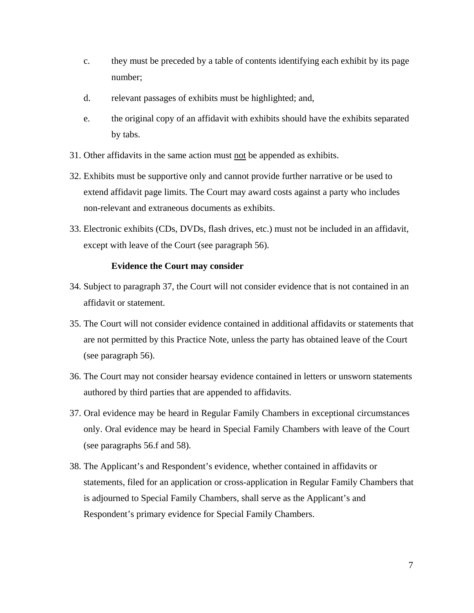- c. they must be preceded by a table of contents identifying each exhibit by its page number;
- d. relevant passages of exhibits must be highlighted; and,
- e. the original copy of an affidavit with exhibits should have the exhibits separated by tabs.
- 31. Other affidavits in the same action must not be appended as exhibits.
- 32. Exhibits must be supportive only and cannot provide further narrative or be used to extend affidavit page limits. The Court may award costs against a party who includes non-relevant and extraneous documents as exhibits.
- 33. Electronic exhibits (CDs, DVDs, flash drives, etc.) must not be included in an affidavit, except with leave of the Court (see paragraph 56).

#### **Evidence the Court may consider**

- 34. Subject to paragraph 37, the Court will not consider evidence that is not contained in an affidavit or statement.
- 35. The Court will not consider evidence contained in additional affidavits or statements that are not permitted by this Practice Note, unless the party has obtained leave of the Court (see paragraph 56).
- 36. The Court may not consider hearsay evidence contained in letters or unsworn statements authored by third parties that are appended to affidavits.
- 37. Oral evidence may be heard in Regular Family Chambers in exceptional circumstances only. Oral evidence may be heard in Special Family Chambers with leave of the Court (see paragraphs 56.f and 58).
- 38. The Applicant's and Respondent's evidence, whether contained in affidavits or statements, filed for an application or cross-application in Regular Family Chambers that is adjourned to Special Family Chambers, shall serve as the Applicant's and Respondent's primary evidence for Special Family Chambers.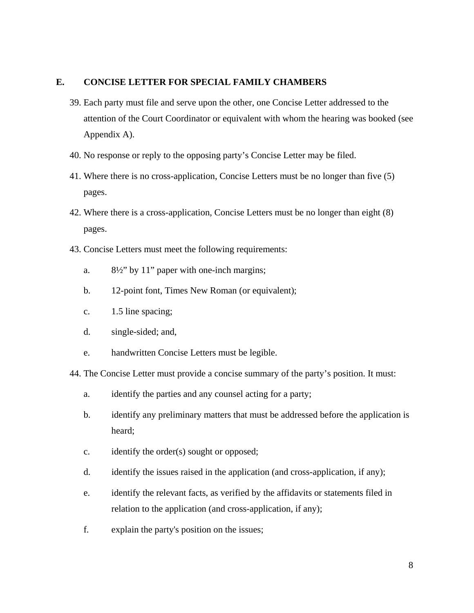## **E. CONCISE LETTER FOR SPECIAL FAMILY CHAMBERS**

- 39. Each party must file and serve upon the other, one Concise Letter addressed to the attention of the Court Coordinator or equivalent with whom the hearing was booked (see Appendix A).
- 40. No response or reply to the opposing party's Concise Letter may be filed.
- 41. Where there is no cross-application, Concise Letters must be no longer than five (5) pages.
- 42. Where there is a cross-application, Concise Letters must be no longer than eight (8) pages.
- 43. Concise Letters must meet the following requirements:
	- a. 8½" by 11" paper with one-inch margins;
	- b. 12-point font, Times New Roman (or equivalent);
	- c. 1.5 line spacing;
	- d. single-sided; and,
	- e. handwritten Concise Letters must be legible.

44. The Concise Letter must provide a concise summary of the party's position. It must:

- a. identify the parties and any counsel acting for a party;
- b. identify any preliminary matters that must be addressed before the application is heard;
- c. identify the order(s) sought or opposed;
- d. identify the issues raised in the application (and cross-application, if any);
- e. identify the relevant facts, as verified by the affidavits or statements filed in relation to the application (and cross-application, if any);
- f. explain the party's position on the issues;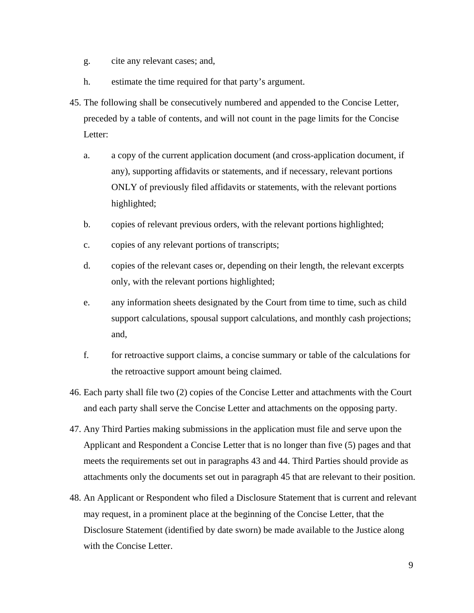- g. cite any relevant cases; and,
- h. estimate the time required for that party's argument.
- 45. The following shall be consecutively numbered and appended to the Concise Letter, preceded by a table of contents, and will not count in the page limits for the Concise Letter:
	- a. a copy of the current application document (and cross-application document, if any), supporting affidavits or statements, and if necessary, relevant portions ONLY of previously filed affidavits or statements, with the relevant portions highlighted;
	- b. copies of relevant previous orders, with the relevant portions highlighted;
	- c. copies of any relevant portions of transcripts;
	- d. copies of the relevant cases or, depending on their length, the relevant excerpts only, with the relevant portions highlighted;
	- e. any information sheets designated by the Court from time to time, such as child support calculations, spousal support calculations, and monthly cash projections; and,
	- f. for retroactive support claims, a concise summary or table of the calculations for the retroactive support amount being claimed.
- 46. Each party shall file two (2) copies of the Concise Letter and attachments with the Court and each party shall serve the Concise Letter and attachments on the opposing party.
- 47. Any Third Parties making submissions in the application must file and serve upon the Applicant and Respondent a Concise Letter that is no longer than five (5) pages and that meets the requirements set out in paragraphs 43 and 44. Third Parties should provide as attachments only the documents set out in paragraph 45 that are relevant to their position.
- 48. An Applicant or Respondent who filed a Disclosure Statement that is current and relevant may request, in a prominent place at the beginning of the Concise Letter, that the Disclosure Statement (identified by date sworn) be made available to the Justice along with the Concise Letter.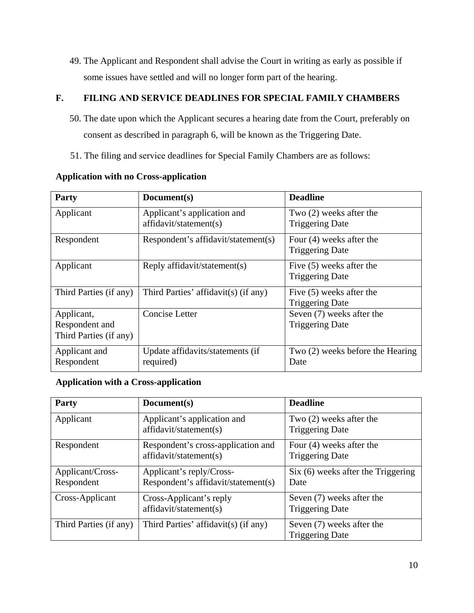49. The Applicant and Respondent shall advise the Court in writing as early as possible if some issues have settled and will no longer form part of the hearing.

# **F. FILING AND SERVICE DEADLINES FOR SPECIAL FAMILY CHAMBERS**

- 50. The date upon which the Applicant secures a hearing date from the Court, preferably on consent as described in paragraph 6, will be known as the Triggering Date.
- 51. The filing and service deadlines for Special Family Chambers are as follows:

| Party                                                  | Document(s)                                           | <b>Deadline</b>                                      |
|--------------------------------------------------------|-------------------------------------------------------|------------------------------------------------------|
| Applicant                                              | Applicant's application and<br>affidavit/statement(s) | Two $(2)$ weeks after the<br><b>Triggering Date</b>  |
| Respondent                                             | Respondent's affidavit/statement(s)                   | Four $(4)$ weeks after the<br><b>Triggering Date</b> |
| Applicant                                              | Reply affidavit/statement(s)                          | Five $(5)$ weeks after the<br><b>Triggering Date</b> |
| Third Parties (if any)                                 | Third Parties' affidavit(s) (if any)                  | Five (5) weeks after the<br><b>Triggering Date</b>   |
| Applicant,<br>Respondent and<br>Third Parties (if any) | Concise Letter                                        | Seven (7) weeks after the<br><b>Triggering Date</b>  |
| Applicant and<br>Respondent                            | Update affidavits/statements (if<br>required)         | Two (2) weeks before the Hearing<br>Date             |

## **Application with no Cross-application**

## **Application with a Cross-application**

| Party                          | Document(s)                                                     | <b>Deadline</b>                                      |
|--------------------------------|-----------------------------------------------------------------|------------------------------------------------------|
| Applicant                      | Applicant's application and<br>affidavit/statement(s)           | Two $(2)$ weeks after the<br><b>Triggering Date</b>  |
| Respondent                     | Respondent's cross-application and<br>affidavit/statement(s)    | Four $(4)$ weeks after the<br><b>Triggering Date</b> |
| Applicant/Cross-<br>Respondent | Applicant's reply/Cross-<br>Respondent's affidavit/statement(s) | Six (6) weeks after the Triggering<br>Date           |
| Cross-Applicant                | Cross-Applicant's reply<br>affidavit/statement(s)               | Seven (7) weeks after the<br><b>Triggering Date</b>  |
| Third Parties (if any)         | Third Parties' affidavit(s) (if any)                            | Seven (7) weeks after the<br><b>Triggering Date</b>  |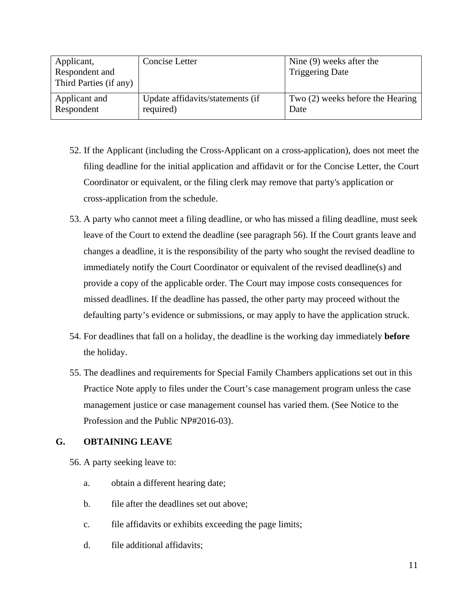| Applicant,<br>Respondent and<br>Third Parties (if any) | Concise Letter                   | Nine $(9)$ weeks after the<br><b>Triggering Date</b> |
|--------------------------------------------------------|----------------------------------|------------------------------------------------------|
| Applicant and                                          | Update affidavits/statements (if | Two (2) weeks before the Hearing                     |
| Respondent                                             | required)                        | Date                                                 |

- 52. If the Applicant (including the Cross-Applicant on a cross-application), does not meet the filing deadline for the initial application and affidavit or for the Concise Letter, the Court Coordinator or equivalent, or the filing clerk may remove that party's application or cross-application from the schedule.
- 53. A party who cannot meet a filing deadline, or who has missed a filing deadline, must seek leave of the Court to extend the deadline (see paragraph 56). If the Court grants leave and changes a deadline, it is the responsibility of the party who sought the revised deadline to immediately notify the Court Coordinator or equivalent of the revised deadline(s) and provide a copy of the applicable order. The Court may impose costs consequences for missed deadlines. If the deadline has passed, the other party may proceed without the defaulting party's evidence or submissions, or may apply to have the application struck.
- 54. For deadlines that fall on a holiday, the deadline is the working day immediately **before** the holiday.
- 55. The deadlines and requirements for Special Family Chambers applications set out in this Practice Note apply to files under the Court's case management program unless the case management justice or case management counsel has varied them. (See Notice to the Profession and the Public NP#2016-03).

## **G. OBTAINING LEAVE**

56. A party seeking leave to:

- a. obtain a different hearing date;
- b. file after the deadlines set out above;
- c. file affidavits or exhibits exceeding the page limits;
- d. file additional affidavits;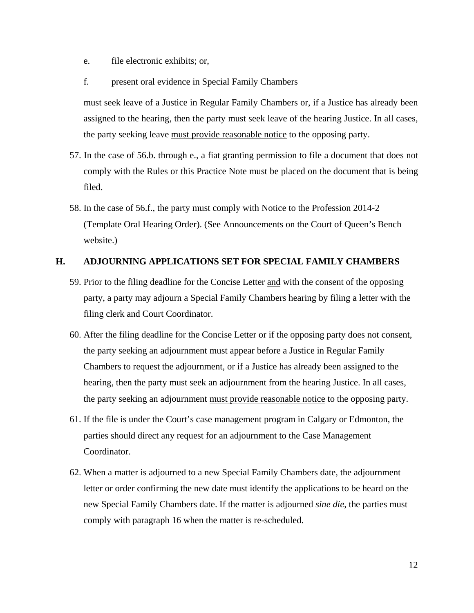- e. file electronic exhibits; or,
- f. present oral evidence in Special Family Chambers

must seek leave of a Justice in Regular Family Chambers or, if a Justice has already been assigned to the hearing, then the party must seek leave of the hearing Justice. In all cases, the party seeking leave must provide reasonable notice to the opposing party.

- 57. In the case of 56.b. through e., a fiat granting permission to file a document that does not comply with the Rules or this Practice Note must be placed on the document that is being filed.
- 58. In the case of 56.f., the party must comply with Notice to the Profession 2014-2 (Template Oral Hearing Order). (See Announcements on the Court of Queen's Bench website.)

#### **H. ADJOURNING APPLICATIONS SET FOR SPECIAL FAMILY CHAMBERS**

- 59. Prior to the filing deadline for the Concise Letter and with the consent of the opposing party, a party may adjourn a Special Family Chambers hearing by filing a letter with the filing clerk and Court Coordinator.
- 60. After the filing deadline for the Concise Letter  $or$  if the opposing party does not consent,</u> the party seeking an adjournment must appear before a Justice in Regular Family Chambers to request the adjournment, or if a Justice has already been assigned to the hearing, then the party must seek an adjournment from the hearing Justice. In all cases, the party seeking an adjournment must provide reasonable notice to the opposing party.
- 61. If the file is under the Court's case management program in Calgary or Edmonton, the parties should direct any request for an adjournment to the Case Management Coordinator.
- 62. When a matter is adjourned to a new Special Family Chambers date, the adjournment letter or order confirming the new date must identify the applications to be heard on the new Special Family Chambers date. If the matter is adjourned *sine die*, the parties must comply with paragraph 16 when the matter is re-scheduled.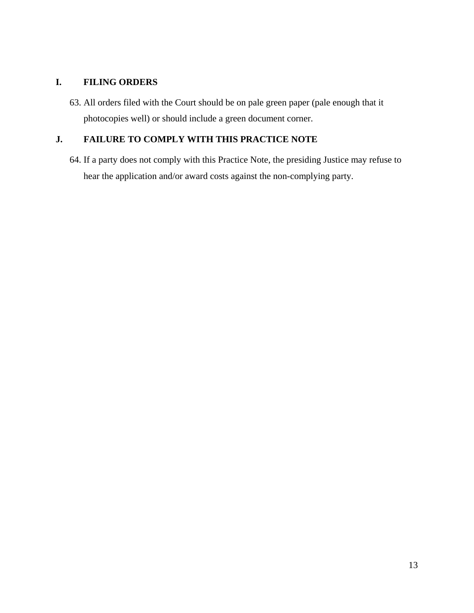## **I. FILING ORDERS**

63. All orders filed with the Court should be on pale green paper (pale enough that it photocopies well) or should include a green document corner.

# **J. FAILURE TO COMPLY WITH THIS PRACTICE NOTE**

64. If a party does not comply with this Practice Note, the presiding Justice may refuse to hear the application and/or award costs against the non-complying party.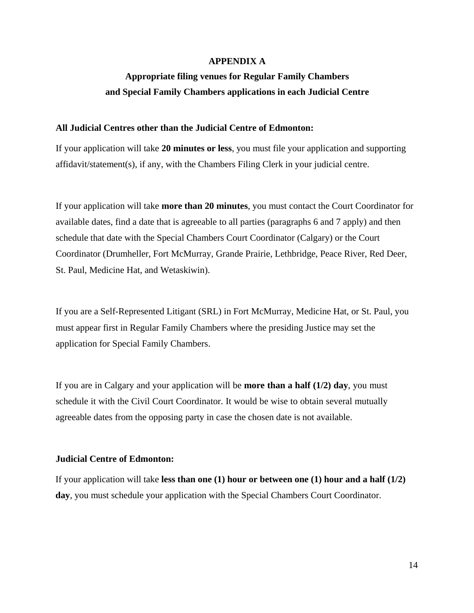#### **APPENDIX A**

# **Appropriate filing venues for Regular Family Chambers and Special Family Chambers applications in each Judicial Centre**

#### **All Judicial Centres other than the Judicial Centre of Edmonton:**

If your application will take **20 minutes or less**, you must file your application and supporting affidavit/statement(s), if any, with the Chambers Filing Clerk in your judicial centre.

If your application will take **more than 20 minutes**, you must contact the Court Coordinator for available dates, find a date that is agreeable to all parties (paragraphs 6 and 7 apply) and then schedule that date with the Special Chambers Court Coordinator (Calgary) or the Court Coordinator (Drumheller, Fort McMurray, Grande Prairie, Lethbridge, Peace River, Red Deer, St. Paul, Medicine Hat, and Wetaskiwin).

If you are a Self-Represented Litigant (SRL) in Fort McMurray, Medicine Hat, or St. Paul, you must appear first in Regular Family Chambers where the presiding Justice may set the application for Special Family Chambers.

If you are in Calgary and your application will be **more than a half (1/2) day**, you must schedule it with the Civil Court Coordinator. It would be wise to obtain several mutually agreeable dates from the opposing party in case the chosen date is not available.

#### **Judicial Centre of Edmonton:**

If your application will take **less than one (1) hour or between one (1) hour and a half (1/2) day**, you must schedule your application with the Special Chambers Court Coordinator.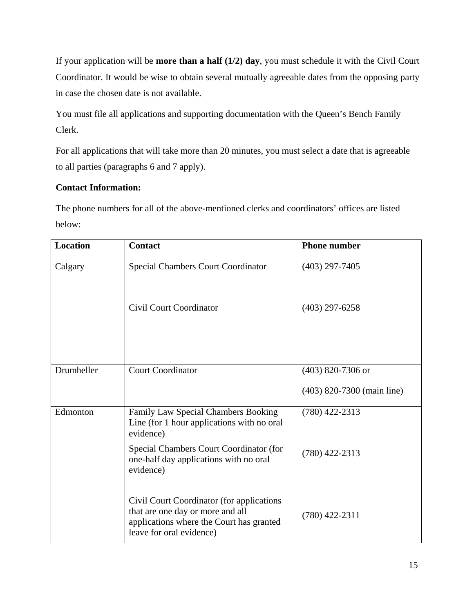If your application will be **more than a half (1/2) day**, you must schedule it with the Civil Court Coordinator. It would be wise to obtain several mutually agreeable dates from the opposing party in case the chosen date is not available.

You must file all applications and supporting documentation with the Queen's Bench Family Clerk.

For all applications that will take more than 20 minutes, you must select a date that is agreeable to all parties (paragraphs 6 and 7 apply).

# **Contact Information:**

The phone numbers for all of the above-mentioned clerks and coordinators' offices are listed below:

| <b>Location</b> | <b>Contact</b>                                                                                                                                        | <b>Phone number</b>        |
|-----------------|-------------------------------------------------------------------------------------------------------------------------------------------------------|----------------------------|
| Calgary         | <b>Special Chambers Court Coordinator</b>                                                                                                             | $(403)$ 297-7405           |
|                 | <b>Civil Court Coordinator</b>                                                                                                                        | $(403)$ 297-6258           |
| Drumheller      | <b>Court Coordinator</b>                                                                                                                              | $(403)$ 820-7306 or        |
|                 |                                                                                                                                                       | (403) 820-7300 (main line) |
| Edmonton        | Family Law Special Chambers Booking<br>Line (for 1 hour applications with no oral<br>evidence)                                                        | $(780)$ 422-2313           |
|                 | Special Chambers Court Coordinator (for<br>one-half day applications with no oral<br>evidence)                                                        | $(780)$ 422-2313           |
|                 | Civil Court Coordinator (for applications<br>that are one day or more and all<br>applications where the Court has granted<br>leave for oral evidence) | $(780)$ 422-2311           |